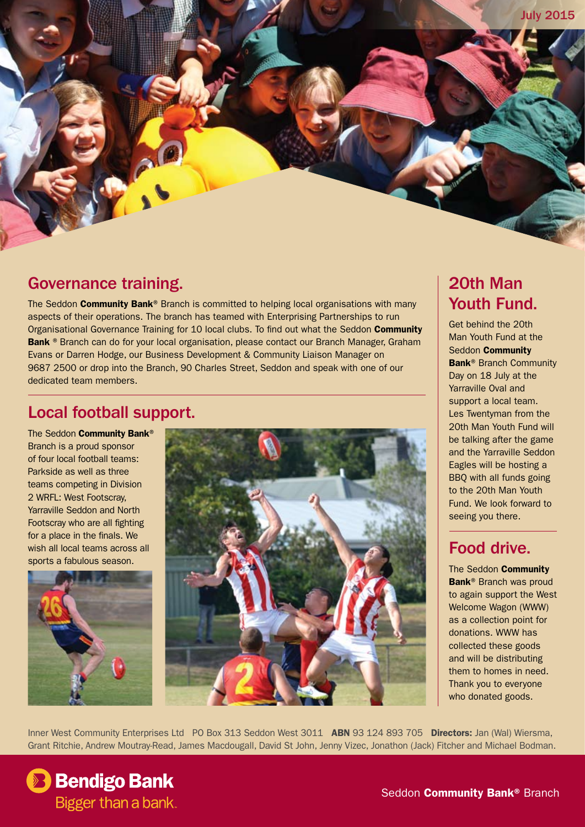## Governance training.

The Seddon **Community Bank®** Branch is committed to helping local organisations with many aspects of their operations. The branch has teamed with Enterprising Partnerships to run Organisational Governance Training for 10 local clubs. To find out what the Seddon Community Bank <sup>®</sup> Branch can do for your local organisation, please contact our Branch Manager, Graham Evans or Darren Hodge, our Business Development & Community Liaison Manager on 9687 2500 or drop into the Branch, 90 Charles Street, Seddon and speak with one of our dedicated team members.

### Local football support.

The Seddon Community Bank® Branch is a proud sponsor of four local football teams: Parkside as well as three teams competing in Division 2 WRFL: West Footscray, Yarraville Seddon and North Footscray who are all fighting for a place in the finals. We wish all local teams across all sports a fabulous season.





# 20th Man Youth Fund.

Get behind the 20th Man Youth Fund at the Seddon Community Bank® Branch Community Day on 18 July at the Yarraville Oval and support a local team. Les Twentyman from the 20th Man Youth Fund will be talking after the game and the Yarraville Seddon Eagles will be hosting a BBQ with all funds going to the 20th Man Youth Fund. We look forward to seeing you there.

### Food drive.

The Seddon Community Bank® Branch was proud to again support the West Welcome Wagon (WWW) as a collection point for donations. WWW has collected these goods and will be distributing them to homes in need. Thank you to everyone who donated goods.

Inner West Community Enterprises Ltd PO Box 313 Seddon West 3011 ABN 93 124 893 705 Directors: Jan (Wal) Wiersma, Grant Ritchie, Andrew Moutray-Read, James Macdougall, David St John, Jenny Vizec, Jonathon (Jack) Fitcher and Michael Bodman.

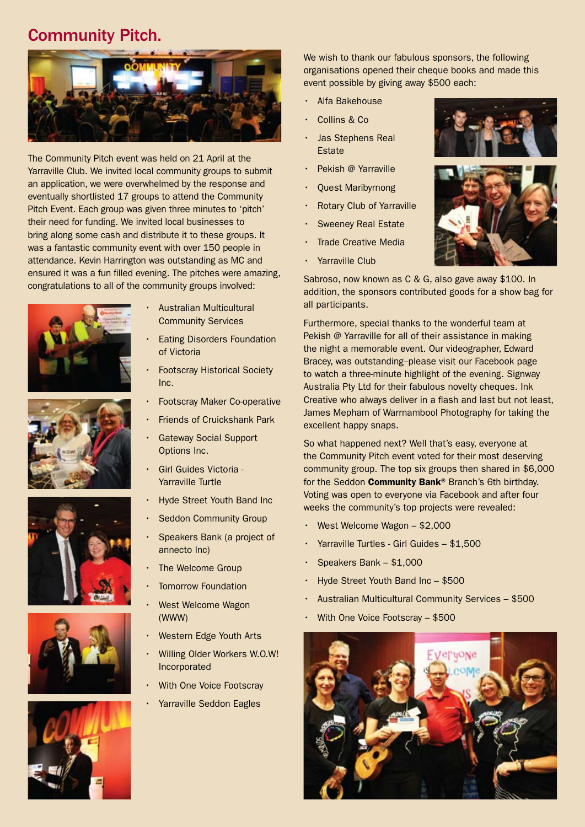### Community Pitch.



The Community Pitch event was held on 21 April at the Yarraville Club. We invited local community groups to submit an application, we were overwhelmed by the response and eventually shortlisted 17 groups to attend the Community Pitch Event. Each group was given three minutes to 'pitch' their need for funding. We invited local businesses to bring along some cash and distribute it to these groups. It was a fantastic community event with over 150 people in attendance. Kevin Harrington was outstanding as MC and ensured it was a fun filled evening. The pitches were amazing, congratulations to all of the community groups involved:











- **Australian Multicultural** Community Services
- **Eating Disorders Foundation** of Victoria
- **Footscray Historical Society** Inc.
- **Footscray Maker Co-operative**
- **Friends of Cruickshank Park**
- **Gateway Social Support** Options Inc.
- Girl Guides Victoria -Yarraville Turtle
- **Hyde Street Youth Band Inc**
- **Seddon Community Group**
- Speakers Bank (a project of annecto Inc)
- The Welcome Group
- **Tomorrow Foundation**
- **West Welcome Wagon** (WWW)
- **Western Edge Youth Arts**
- Willing Older Workers W.O.W! Incorporated
- **With One Voice Footscray**
- Yarraville Seddon Eagles

We wish to thank our fabulous sponsors, the following organisations opened their cheque books and made this event possible by giving away \$500 each:

- Alfa Bakehouse
- Collins & Co.
- Jas Stephens Real **Estate**
- • Pekish @ Yarraville
- **Quest Maribyrnong**
- **Rotary Club of Yarraville**
- **Sweeney Real Estate**
- **Trade Creative Media**
- Yarraville Club

Sabroso, now known as C & G, also gave away \$100. In addition, the sponsors contributed goods for a show bag for all participants.

Furthermore, special thanks to the wonderful team at Pekish @ Yarraville for all of their assistance in making the night a memorable event. Our videographer, Edward Bracey, was outstanding–please visit our Facebook page to watch a three-minute highlight of the evening. Signway Australia Pty Ltd for their fabulous novelty cheques. Ink Creative who always deliver in a flash and last but not least, James Mepham of Warrnambool Photography for taking the excellent happy snaps.

So what happened next? Well that's easy, everyone at the Community Pitch event voted for their most deserving community group. The top six groups then shared in \$6,000 for the Seddon **Community Bank®** Branch's 6th birthday. Voting was open to everyone via Facebook and after four weeks the community's top projects were revealed:

- West Welcome Wagon \$2,000
- Yarraville Turtles Girl Guides \$1,500
- Speakers Bank  $-$  \$1,000
- Hyde Street Youth Band Inc  $-$  \$500
- Australian Multicultural Community Services \$500
- With One Voice Footscray \$500





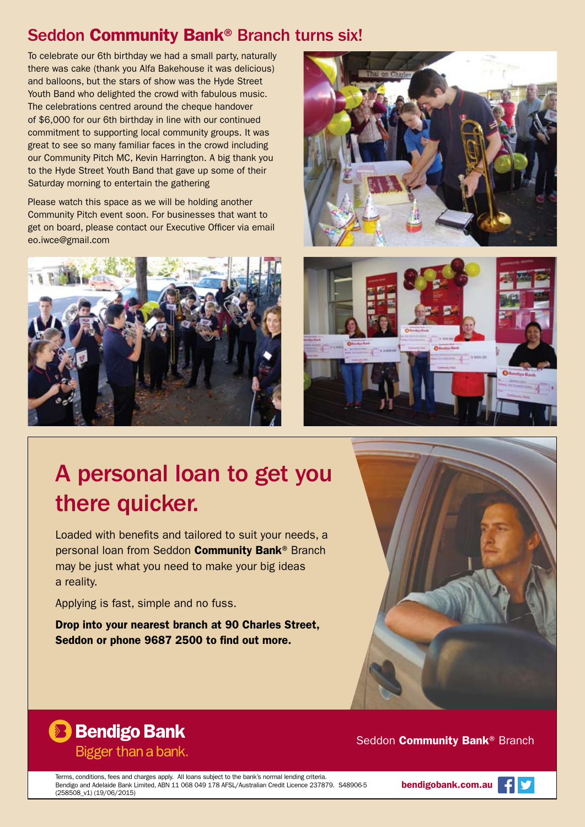## Seddon Community Bank® Branch turns six!

To celebrate our 6th birthday we had a small party, naturally there was cake (thank you Alfa Bakehouse it was delicious) and balloons, but the stars of show was the Hyde Street Youth Band who delighted the crowd with fabulous music. The celebrations centred around the cheque handover of \$6,000 for our 6th birthday in line with our continued commitment to supporting local community groups. It was great to see so many familiar faces in the crowd including our Community Pitch MC, Kevin Harrington. A big thank you to the Hyde Street Youth Band that gave up some of their Saturday morning to entertain the gathering

Please watch this space as we will be holding another Community Pitch event soon. For businesses that want to get on board, please contact our Executive Officer via email eo.iwce@gmail.com







# A personal loan to get you there quicker.

Loaded with benefits and tailored to suit your needs, a personal loan from Seddon Community Bank® Branch may be just what you need to make your big ideas a reality.

Applying is fast, simple and no fuss.

Drop into your nearest branch at 90 Charles Street, Seddon or phone 9687 2500 to find out more.



# **B** Bendigo Bank Bigger than a bank.

### Seddon **Community Bank® Branch**

Terms, conditions, fees and charges apply. All loans subject to the bank's normal lending criteria. Bendigo and Adelaide Bank Limited, ABN 11 068 049 178 AFSL/Australian Credit Licence 237879. S48906-5 (258508\_v1) (19/06/2015)

bendigobank.com.au